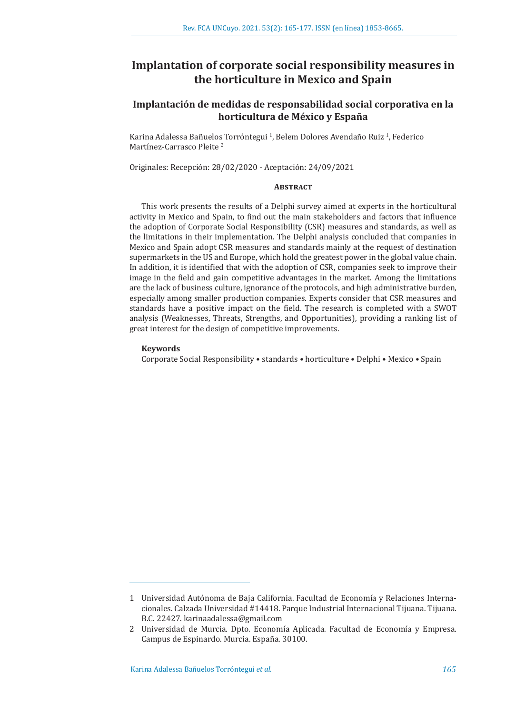# **Implantation of corporate social responsibility measures in the horticulture in Mexico and Spain**

## **Implantación de medidas de responsabilidad social corporativa en la horticultura de México y España**

Karina Adalessa Bañuelos Torróntegui <sup>1</sup>, Belem Dolores Avendaño Ruiz <sup>1</sup>, Federico Martínez-Carrasco Pleite <sup>2</sup>

Originales: Recepción: 28/02/2020 - Aceptación: 24/09/2021

#### **ABSTRACT**

This work presents the results of a Delphi survey aimed at experts in the horticultural activity in Mexico and Spain, to find out the main stakeholders and factors that influence the adoption of Corporate Social Responsibility (CSR) measures and standards, as well as the limitations in their implementation. The Delphi analysis concluded that companies in Mexico and Spain adopt CSR measures and standards mainly at the request of destination supermarkets in the US and Europe, which hold the greatest power in the global value chain. In addition, it is identified that with the adoption of CSR, companies seek to improve their image in the field and gain competitive advantages in the market. Among the limitations are the lack of business culture, ignorance of the protocols, and high administrative burden, especially among smaller production companies. Experts consider that CSR measures and standards have a positive impact on the field. The research is completed with a SWOT analysis (Weaknesses, Threats, Strengths, and Opportunities), providing a ranking list of great interest for the design of competitive improvements.

## **Keywords**

Corporate Social Responsibility • standards • horticulture • Delphi • Mexico • Spain

<sup>1</sup> Universidad Autónoma de Baja California. Facultad de Economía y Relaciones Internacionales. Calzada Universidad #14418. Parque Industrial Internacional Tijuana. Tijuana. B.C. 22427. karinaadalessa@gmail.com

<sup>2</sup> Universidad de Murcia. Dpto. Economía Aplicada. Facultad de Economía y Empresa. Campus de Espinardo. Murcia. España. 30100.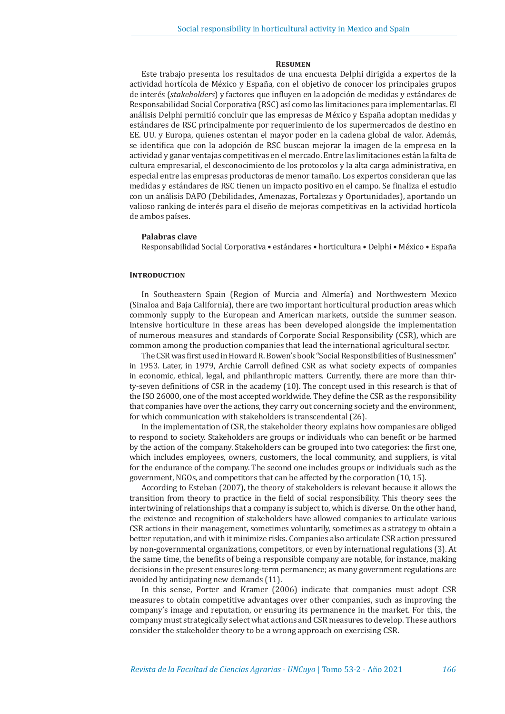#### **Resumen**

Este trabajo presenta los resultados de una encuesta Delphi dirigida a expertos de la actividad hortícola de México y España, con el objetivo de conocer los principales grupos de interés (*stakeholders*) y factores que influyen en la adopción de medidas y estándares de Responsabilidad Social Corporativa (RSC) así como las limitaciones para implementarlas. El análisis Delphi permitió concluir que las empresas de México y España adoptan medidas y estándares de RSC principalmente por requerimiento de los supermercados de destino en EE. UU. y Europa, quienes ostentan el mayor poder en la cadena global de valor. Además, se identifica que con la adopción de RSC buscan mejorar la imagen de la empresa en la actividad y ganar ventajas competitivas en el mercado. Entre las limitaciones están la falta de cultura empresarial, el desconocimiento de los protocolos y la alta carga administrativa, en especial entre las empresas productoras de menor tamaño. Los expertos consideran que las medidas y estándares de RSC tienen un impacto positivo en el campo. Se finaliza el estudio con un análisis DAFO (Debilidades, Amenazas, Fortalezas y Oportunidades), aportando un valioso ranking de interés para el diseño de mejoras competitivas en la actividad hortícola de ambos países.

#### **Palabras clave**

Responsabilidad Social Corporativa • estándares • horticultura • Delphi • México • España

## **INTRODUCTION**

In Southeastern Spain (Region of Murcia and Almería) and Northwestern Mexico (Sinaloa and Baja California), there are two important horticultural production areas which commonly supply to the European and American markets, outside the summer season. Intensive horticulture in these areas has been developed alongside the implementation of numerous measures and standards of Corporate Social Responsibility (CSR), which are common among the production companies that lead the international agricultural sector.

The CSR was first used in Howard R. Bowen's book "Social Responsibilities of Businessmen" in 1953. Later, in 1979, Archie Carroll defined CSR as what society expects of companies in economic, ethical, legal, and philanthropic matters. Currently, there are more than thirty-seven definitions of CSR in the academy (10). The concept used in this research is that of the ISO 26000, one of the most accepted worldwide. They define the CSR as the responsibility that companies have over the actions, they carry out concerning society and the environment, for which communication with stakeholders is transcendental (26).

In the implementation of CSR, the stakeholder theory explains how companies are obliged to respond to society. Stakeholders are groups or individuals who can benefit or be harmed by the action of the company. Stakeholders can be grouped into two categories: the first one, which includes employees, owners, customers, the local community, and suppliers, is vital for the endurance of the company. The second one includes groups or individuals such as the government, NGOs, and competitors that can be affected by the corporation (10, 15).

According to Esteban (2007), the theory of stakeholders is relevant because it allows the transition from theory to practice in the field of social responsibility. This theory sees the intertwining of relationships that a company is subject to, which is diverse. On the other hand, the existence and recognition of stakeholders have allowed companies to articulate various CSR actions in their management, sometimes voluntarily, sometimes as a strategy to obtain a better reputation, and with it minimize risks. Companies also articulate CSR action pressured by non-governmental organizations, competitors, or even by international regulations (3). At the same time, the benefits of being a responsible company are notable, for instance, making decisions in the present ensures long-term permanence; as many government regulations are avoided by anticipating new demands (11).

In this sense, Porter and Kramer (2006) indicate that companies must adopt CSR measures to obtain competitive advantages over other companies, such as improving the company's image and reputation, or ensuring its permanence in the market. For this, the company must strategically select what actions and CSR measures to develop. These authors consider the stakeholder theory to be a wrong approach on exercising CSR.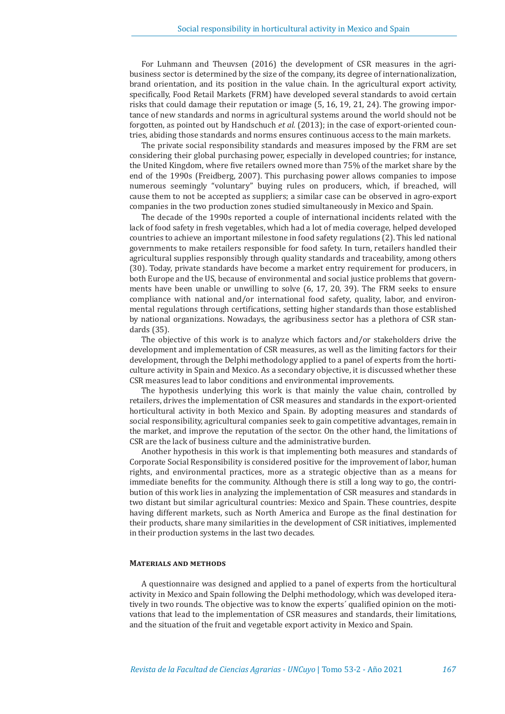For Luhmann and Theuvsen (2016) the development of CSR measures in the agribusiness sector is determined by the size of the company, its degree of internationalization, brand orientation, and its position in the value chain. In the agricultural export activity, specifically, Food Retail Markets (FRM) have developed several standards to avoid certain risks that could damage their reputation or image (5, 16, 19, 21, 24). The growing importance of new standards and norms in agricultural systems around the world should not be forgotten, as pointed out by Handschuch *et al.* (2013); in the case of export-oriented countries, abiding those standards and norms ensures continuous access to the main markets.

The private social responsibility standards and measures imposed by the FRM are set considering their global purchasing power, especially in developed countries; for instance, the United Kingdom, where five retailers owned more than 75% of the market share by the end of the 1990s (Freidberg, 2007). This purchasing power allows companies to impose numerous seemingly "voluntary" buying rules on producers, which, if breached, will cause them to not be accepted as suppliers; a similar case can be observed in agro-export companies in the two production zones studied simultaneously in Mexico and Spain.

The decade of the 1990s reported a couple of international incidents related with the lack of food safety in fresh vegetables, which had a lot of media coverage, helped developed countries to achieve an important milestone in food safety regulations (2). This led national governments to make retailers responsible for food safety. In turn, retailers handled their agricultural supplies responsibly through quality standards and traceability, among others (30). Today, private standards have become a market entry requirement for producers, in both Europe and the US, because of environmental and social justice problems that governments have been unable or unwilling to solve (6, 17, 20, 39). The FRM seeks to ensure compliance with national and/or international food safety, quality, labor, and environmental regulations through certifications, setting higher standards than those established by national organizations. Nowadays, the agribusiness sector has a plethora of CSR standards (35).

The objective of this work is to analyze which factors and/or stakeholders drive the development and implementation of CSR measures, as well as the limiting factors for their development, through the Delphi methodology applied to a panel of experts from the horticulture activity in Spain and Mexico. As a secondary objective, it is discussed whether these CSR measures lead to labor conditions and environmental improvements.

The hypothesis underlying this work is that mainly the value chain, controlled by retailers, drives the implementation of CSR measures and standards in the export-oriented horticultural activity in both Mexico and Spain. By adopting measures and standards of social responsibility, agricultural companies seek to gain competitive advantages, remain in the market, and improve the reputation of the sector. On the other hand, the limitations of CSR are the lack of business culture and the administrative burden.

Another hypothesis in this work is that implementing both measures and standards of Corporate Social Responsibility is considered positive for the improvement of labor, human rights, and environmental practices, more as a strategic objective than as a means for immediate benefits for the community. Although there is still a long way to go, the contribution of this work lies in analyzing the implementation of CSR measures and standards in two distant but similar agricultural countries: Mexico and Spain. These countries, despite having different markets, such as North America and Europe as the final destination for their products, share many similarities in the development of CSR initiatives, implemented in their production systems in the last two decades.

#### **Materials and methods**

A questionnaire was designed and applied to a panel of experts from the horticultural activity in Mexico and Spain following the Delphi methodology, which was developed iteratively in two rounds. The objective was to know the experts´ qualified opinion on the motivations that lead to the implementation of CSR measures and standards, their limitations, and the situation of the fruit and vegetable export activity in Mexico and Spain.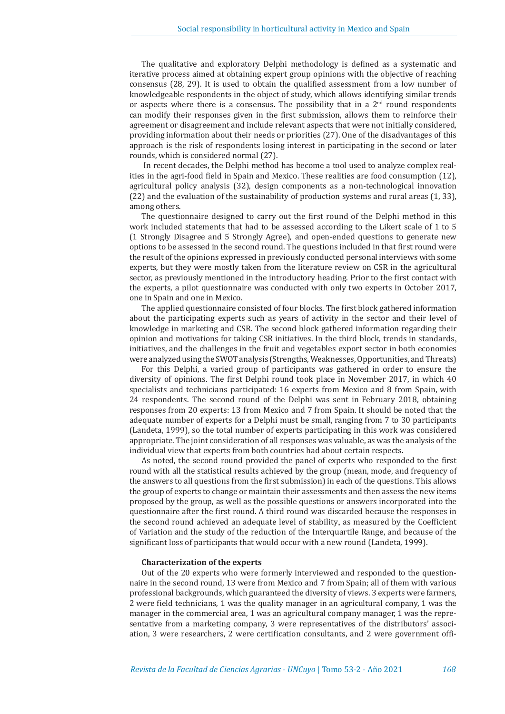The qualitative and exploratory Delphi methodology is defined as a systematic and iterative process aimed at obtaining expert group opinions with the objective of reaching consensus (28, 29). It is used to obtain the qualified assessment from a low number of knowledgeable respondents in the object of study, which allows identifying similar trends or aspects where there is a consensus. The possibility that in a  $2<sup>nd</sup>$  round respondents can modify their responses given in the first submission, allows them to reinforce their agreement or disagreement and include relevant aspects that were not initially considered, providing information about their needs or priorities (27). One of the disadvantages of this approach is the risk of respondents losing interest in participating in the second or later rounds, which is considered normal (27).

 In recent decades, the Delphi method has become a tool used to analyze complex realities in the agri-food field in Spain and Mexico. These realities are food consumption (12), agricultural policy analysis (32), design components as a non-technological innovation (22) and the evaluation of the sustainability of production systems and rural areas (1, 33), among others.

The questionnaire designed to carry out the first round of the Delphi method in this work included statements that had to be assessed according to the Likert scale of 1 to 5 (1 Strongly Disagree and 5 Strongly Agree), and open-ended questions to generate new options to be assessed in the second round. The questions included in that first round were the result of the opinions expressed in previously conducted personal interviews with some experts, but they were mostly taken from the literature review on CSR in the agricultural sector, as previously mentioned in the introductory heading. Prior to the first contact with the experts, a pilot questionnaire was conducted with only two experts in October 2017, one in Spain and one in Mexico.

The applied questionnaire consisted of four blocks. The first block gathered information about the participating experts such as years of activity in the sector and their level of knowledge in marketing and CSR. The second block gathered information regarding their opinion and motivations for taking CSR initiatives. In the third block, trends in standards, initiatives, and the challenges in the fruit and vegetables export sector in both economies were analyzed using the SWOT analysis (Strengths, Weaknesses, Opportunities, and Threats)

For this Delphi, a varied group of participants was gathered in order to ensure the diversity of opinions. The first Delphi round took place in November 2017, in which 40 specialists and technicians participated: 16 experts from Mexico and 8 from Spain, with 24 respondents. The second round of the Delphi was sent in February 2018, obtaining responses from 20 experts: 13 from Mexico and 7 from Spain. It should be noted that the adequate number of experts for a Delphi must be small, ranging from 7 to 30 participants (Landeta, 1999), so the total number of experts participating in this work was considered appropriate. The joint consideration of all responses was valuable, as was the analysis of the individual view that experts from both countries had about certain respects.

As noted, the second round provided the panel of experts who responded to the first round with all the statistical results achieved by the group (mean, mode, and frequency of the answers to all questions from the first submission) in each of the questions. This allows the group of experts to change or maintain their assessments and then assess the new items proposed by the group, as well as the possible questions or answers incorporated into the questionnaire after the first round. A third round was discarded because the responses in the second round achieved an adequate level of stability, as measured by the Coefficient of Variation and the study of the reduction of the Interquartile Range, and because of the significant loss of participants that would occur with a new round (Landeta, 1999).

#### **Characterization of the experts**

Out of the 20 experts who were formerly interviewed and responded to the questionnaire in the second round, 13 were from Mexico and 7 from Spain; all of them with various professional backgrounds, which guaranteed the diversity of views. 3 experts were farmers, 2 were field technicians, 1 was the quality manager in an agricultural company, 1 was the manager in the commercial area, 1 was an agricultural company manager, 1 was the representative from a marketing company, 3 were representatives of the distributors' association, 3 were researchers, 2 were certification consultants, and 2 were government offi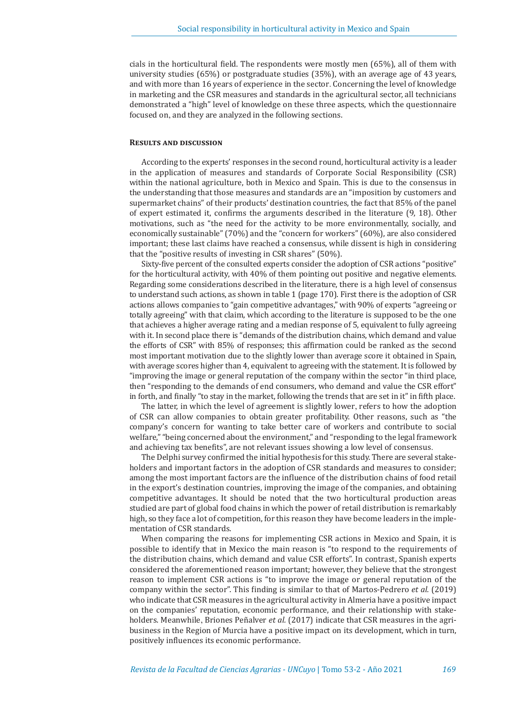cials in the horticultural field. The respondents were mostly men (65%), all of them with university studies (65%) or postgraduate studies (35%), with an average age of 43 years, and with more than 16 years of experience in the sector. Concerning the level of knowledge in marketing and the CSR measures and standards in the agricultural sector, all technicians demonstrated a "high" level of knowledge on these three aspects, which the questionnaire focused on, and they are analyzed in the following sections.

#### **Results and discussion**

According to the experts' responses in the second round, horticultural activity is a leader in the application of measures and standards of Corporate Social Responsibility (CSR) within the national agriculture, both in Mexico and Spain. This is due to the consensus in the understanding that those measures and standards are an "imposition by customers and supermarket chains" of their products' destination countries, the fact that 85% of the panel of expert estimated it, confirms the arguments described in the literature (9, 18). Other motivations, such as "the need for the activity to be more environmentally, socially, and economically sustainable" (70%) and the "concern for workers" (60%), are also considered important; these last claims have reached a consensus, while dissent is high in considering that the "positive results of investing in CSR shares" (50%).

Sixty-five percent of the consulted experts consider the adoption of CSR actions "positive" for the horticultural activity, with 40% of them pointing out positive and negative elements. Regarding some considerations described in the literature, there is a high level of consensus to understand such actions, as shown in table 1 (page 170). First there is the adoption of CSR actions allows companies to "gain competitive advantages," with 90% of experts "agreeing or totally agreeing" with that claim, which according to the literature is supposed to be the one that achieves a higher average rating and a median response of 5, equivalent to fully agreeing with it. In second place there is "demands of the distribution chains, which demand and value the efforts of CSR" with 85% of responses; this affirmation could be ranked as the second most important motivation due to the slightly lower than average score it obtained in Spain, with average scores higher than 4, equivalent to agreeing with the statement. It is followed by "improving the image or general reputation of the company within the sector "in third place, then "responding to the demands of end consumers, who demand and value the CSR effort" in forth, and finally "to stay in the market, following the trends that are set in it" in fifth place.

The latter, in which the level of agreement is slightly lower, refers to how the adoption of CSR can allow companies to obtain greater profitability. Other reasons, such as "the company's concern for wanting to take better care of workers and contribute to social welfare," "being concerned about the environment," and "responding to the legal framework and achieving tax benefits", are not relevant issues showing a low level of consensus.

The Delphi survey confirmed the initial hypothesis for this study. There are several stakeholders and important factors in the adoption of CSR standards and measures to consider; among the most important factors are the influence of the distribution chains of food retail in the export's destination countries, improving the image of the companies, and obtaining competitive advantages. It should be noted that the two horticultural production areas studied are part of global food chains in which the power of retail distribution is remarkably high, so they face a lot of competition, for this reason they have become leaders in the implementation of CSR standards.

When comparing the reasons for implementing CSR actions in Mexico and Spain, it is possible to identify that in Mexico the main reason is "to respond to the requirements of the distribution chains, which demand and value CSR efforts". In contrast, Spanish experts considered the aforementioned reason important; however, they believe that the strongest reason to implement CSR actions is "to improve the image or general reputation of the company within the sector". This finding is similar to that of Martos-Pedrero *et al.* (2019) who indicate that CSR measures in the agricultural activity in Almeria have a positive impact on the companies' reputation, economic performance, and their relationship with stakeholders. Meanwhile, Briones Peñalver *et al.* (2017) indicate that CSR measures in the agribusiness in the Region of Murcia have a positive impact on its development, which in turn, positively influences its economic performance.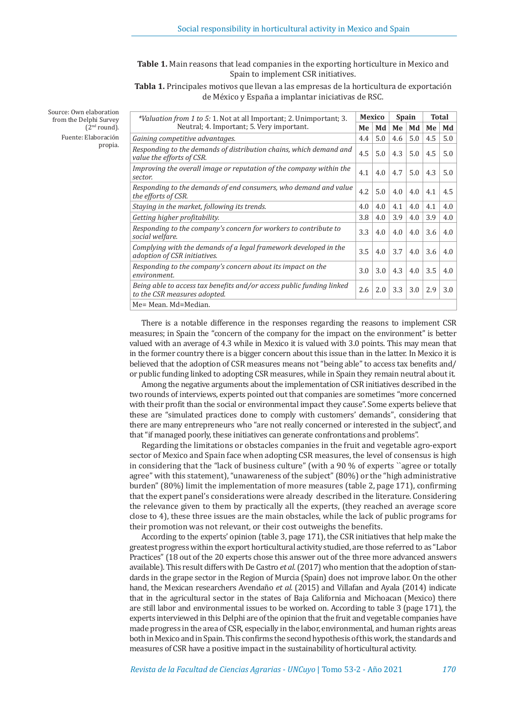**Table 1.** Main reasons that lead companies in the exporting horticulture in Mexico and Spain to implement CSR initiatives.

**Tabla 1.** Principales motivos que llevan a las empresas de la horticultura de exportación de México y España a implantar iniciativas de RSC.

Source: Own elaboration from the Delphi Survey

 $(2<sup>nd</sup> round)$ . Fuente: Elaboración

propia.

| <i>*Valuation from 1 to 5: 1.</i> Not at all Important; 2. Unimportant; 3.                            |     | <b>Mexico</b> | <b>Spain</b> |     | <b>Total</b> |     |
|-------------------------------------------------------------------------------------------------------|-----|---------------|--------------|-----|--------------|-----|
| Neutral; 4. Important; 5. Very important.                                                             | Me  | Md            | Me           | Md  | Me           | Md  |
| Gaining competitive advantages.                                                                       | 4.4 | 5.0           | 4.6          | 5.0 | 4.5          | 5.0 |
| Responding to the demands of distribution chains, which demand and<br>value the efforts of CSR.       | 4.5 | 5.0           | 4.3          | 5.0 | 4.5          | 5.0 |
| Improving the overall image or reputation of the company within the<br>sector.                        | 4.1 | $4.0^{\circ}$ | 4.7          | 5.0 | 4.3          | 5.0 |
| Responding to the demands of end consumers, who demand and value<br>the efforts of CSR.               | 4.2 | 5.0           | 4.0          | 4.0 | 4.1          | 4.5 |
| Staying in the market, following its trends.                                                          | 4.0 | 4.0           | 4.1          | 4.0 | 4.1          | 4.0 |
| Getting higher profitability.                                                                         | 3.8 | 4.0           | 3.9          | 4.0 | 3.9          | 4.0 |
| Responding to the company's concern for workers to contribute to<br>social welfare.                   | 3.3 | 4.0           | 4.0          | 4.0 | 3.6          | 4.0 |
| Complying with the demands of a legal framework developed in the<br>adoption of CSR initiatives.      | 3.5 | 4.0           | 3.7          | 4.0 | 3.6          | 4.0 |
| Responding to the company's concern about its impact on the<br>environment.                           | 3.0 | 3.0           | 4.3          | 4.0 | 3.5          | 4.0 |
| Being able to access tax benefits and/or access public funding linked<br>to the CSR measures adopted. | 2.6 | 2.0           | 3.3          | 3.0 | 2.9          | 3.0 |
| Me= Mean. Md=Median.                                                                                  |     |               |              |     |              |     |

There is a notable difference in the responses regarding the reasons to implement CSR measures; in Spain the "concern of the company for the impact on the environment" is better valued with an average of 4.3 while in Mexico it is valued with 3.0 points. This may mean that in the former country there is a bigger concern about this issue than in the latter. In Mexico it is believed that the adoption of CSR measures means not "being able" to access tax benefits and/ or public funding linked to adopting CSR measures, while in Spain they remain neutral about it.

Among the negative arguments about the implementation of CSR initiatives described in the two rounds of interviews, experts pointed out that companies are sometimes "more concerned with their profit than the social or environmental impact they cause". Some experts believe that these are "simulated practices done to comply with customers' demands", considering that there are many entrepreneurs who "are not really concerned or interested in the subject", and that "if managed poorly, these initiatives can generate confrontations and problems".

Regarding the limitations or obstacles companies in the fruit and vegetable agro-export sector of Mexico and Spain face when adopting CSR measures, the level of consensus is high in considering that the "lack of business culture" (with a 90 % of experts ``agree or totally agree" with this statement), "unawareness of the subject" (80%) or the "high administrative burden" (80%) limit the implementation of more measures (table 2, page 171), confirming that the expert panel's considerations were already described in the literature. Considering the relevance given to them by practically all the experts, (they reached an average score close to 4), these three issues are the main obstacles, while the lack of public programs for their promotion was not relevant, or their cost outweighs the benefits.

According to the experts' opinion (table 3, page 171), the CSR initiatives that help make the greatest progress within the export horticultural activity studied, are those referred to as "Labor Practices" (18 out of the 20 experts chose this answer out of the three more advanced answers available). This result differs with De Castro *et al.* (2017) who mention that the adoption of standards in the grape sector in the Region of Murcia (Spain) does not improve labor. On the other hand, the Mexican researchers Avendaño *et al.* (2015) and Villafan and Ayala (2014) indicate that in the agricultural sector in the states of Baja California and Michoacan (Mexico) there are still labor and environmental issues to be worked on. According to table 3 (page 171), the experts interviewed in this Delphi are of the opinion that the fruit and vegetable companies have made progress in the area of CSR, especially in the labor, environmental, and human rights areas both in Mexico and in Spain. This confirms the second hypothesis of this work, the standards and measures of CSR have a positive impact in the sustainability of horticultural activity.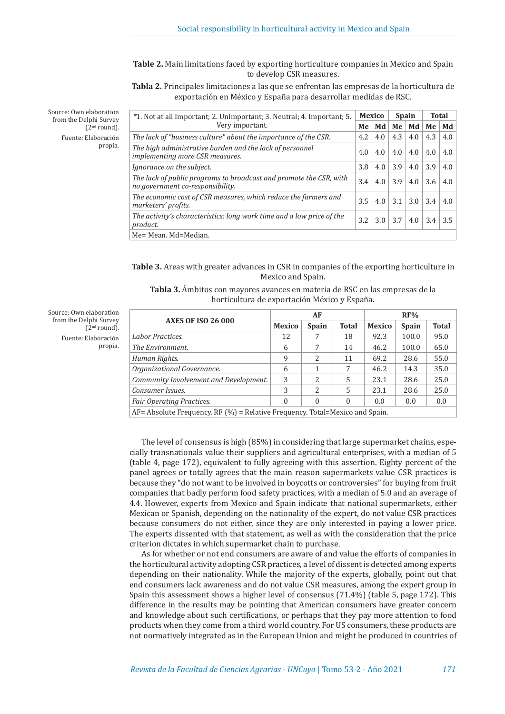**Table 2.** Main limitations faced by exporting horticulture companies in Mexico and Spain to develop CSR measures.

**Tabla 2.** Principales limitaciones a las que se enfrentan las empresas de la horticultura de exportación en México y España para desarrollar medidas de RSC.

Source: Own elaboration from the Delphi Survey  $(2<sup>nd</sup> round).$ Fuente: Elaboración propia.

| *1. Not at all Important; 2. Unimportant; 3. Neutral; 4. Important; 5.                                 |     | Mexico |               | <b>Spain</b>   |     | Total |  |
|--------------------------------------------------------------------------------------------------------|-----|--------|---------------|----------------|-----|-------|--|
| Very important.                                                                                        | Me  | Md     | Me            | Md             | Me  | Md    |  |
| The lack of "business culture" about the importance of the CSR.                                        | 4.2 | 4.0    | 4.3           | 4.0            | 4.3 | 4.0   |  |
| The high administrative burden and the lack of personnel<br>implementing more CSR measures.            | 4.0 | 4.0    | $4.0^{\circ}$ | 4.0            | 4.0 | 4.0   |  |
| Ignorance on the subject.                                                                              | 3.8 | 4.0    | 3.9           | 4.0            | 3.9 | 4.0   |  |
| The lack of public programs to broadcast and promote the CSR, with<br>no government co-responsibility. | 3.4 | 4.0    | 3.9           | 4.0            | 3.6 | 4.0   |  |
| The economic cost of CSR measures, which reduce the farmers and<br>marketers' profits.                 | 3.5 | 4.0    | 3.1           | $3.0 \mid 3.4$ |     | 4.0   |  |
| The activity's characteristics: long work time and a low price of the<br>product.                      | 3.2 | 3.0    | 3.7           | 4.0            | 3.4 | 3.5   |  |
| Me= Mean. Md=Median.                                                                                   |     |        |               |                |     |       |  |

**Table 3.** Areas with greater advances in CSR in companies of the exporting horticulture in Mexico and Spain.

**Tabla 3.** Ámbitos con mayores avances en materia de RSC en las empresas de la horticultura de exportación México y España.

|                                                                                     |               | AF                       |              |               | RF%          |              |
|-------------------------------------------------------------------------------------|---------------|--------------------------|--------------|---------------|--------------|--------------|
| <b>AXES OF ISO 26 000</b>                                                           | <b>Mexico</b> | <b>Spain</b>             | <b>Total</b> | <b>Mexico</b> | <b>Spain</b> | <b>Total</b> |
| Labor Practices.                                                                    | 12            |                          | 18           | 92.3          | 100.0        | 95.0         |
| The Environment.                                                                    | 6             | 7                        | 14           | 46.2          | 100.0        | 65.0         |
| Human Rights.                                                                       | 9             | $\overline{\mathcal{L}}$ | 11           | 69.2          | 28.6         | 55.0         |
| Organizational Governance.                                                          | 6             | 1                        | 7            | 46.2          | 14.3         | 35.0         |
| Community Involvement and Development.                                              | 3             | $\overline{\mathcal{L}}$ | 5            | 23.1          | 28.6         | 25.0         |
| Consumer Issues.                                                                    | 3             | $\overline{\mathcal{L}}$ | 5            | 23.1          | 28.6         | 25.0         |
| <b>Fair Operating Practices.</b>                                                    | 0             | $\theta$                 | $\theta$     | 0.0           | 0.0          | 0.0          |
| $AF =$ Absolute Frequency. RF $(\% ) =$ Relative Frequency. Total=Mexico and Spain. |               |                          |              |               |              |              |

The level of consensus is high (85%) in considering that large supermarket chains, especially transnationals value their suppliers and agricultural enterprises, with a median of 5 (table 4, page 172), equivalent to fully agreeing with this assertion. Eighty percent of the panel agrees or totally agrees that the main reason supermarkets value CSR practices is because they "do not want to be involved in boycotts or controversies" for buying from fruit companies that badly perform food safety practices, with a median of 5.0 and an average of 4.4. However, experts from Mexico and Spain indicate that national supermarkets, either Mexican or Spanish, depending on the nationality of the expert, do not value CSR practices because consumers do not either, since they are only interested in paying a lower price. The experts dissented with that statement, as well as with the consideration that the price criterion dictates in which supermarket chain to purchase.

As for whether or not end consumers are aware of and value the efforts of companies in the horticultural activity adopting CSR practices, a level of dissent is detected among experts depending on their nationality. While the majority of the experts, globally, point out that end consumers lack awareness and do not value CSR measures, among the expert group in Spain this assessment shows a higher level of consensus (71.4%) (table 5, page 172). This difference in the results may be pointing that American consumers have greater concern and knowledge about such certifications, or perhaps that they pay more attention to food products when they come from a third world country. For US consumers, these products are not normatively integrated as in the European Union and might be produced in countries of

Source: Own elaboration from the Delphi Survey  $(2<sup>nd</sup> round).$ Fuente: Elaboración propia.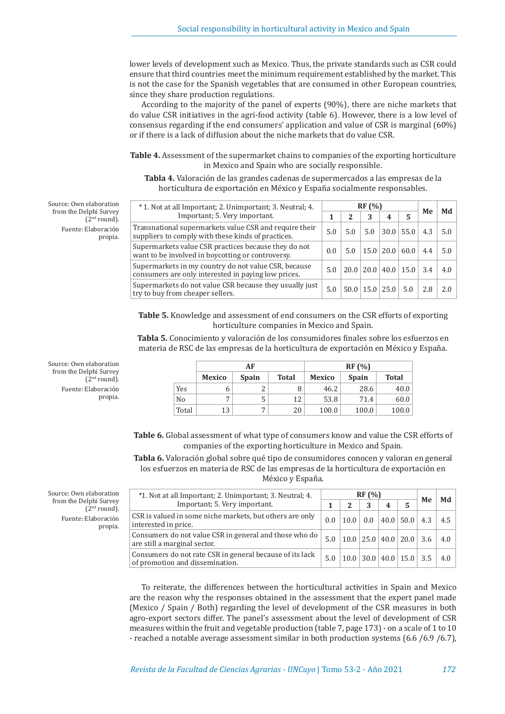lower levels of development such as Mexico. Thus, the private standards such as CSR could ensure that third countries meet the minimum requirement established by the market. This is not the case for the Spanish vegetables that are consumed in other European countries, since they share production regulations.

According to the majority of the panel of experts (90%), there are niche markets that do value CSR initiatives in the agri-food activity (table 6). However, there is a low level of consensus regarding if the end consumers' application and value of CSR is marginal (60%) or if there is a lack of diffusion about the niche markets that do value CSR.

**Table 4.** Assessment of the supermarket chains to companies of the exporting horticulture in Mexico and Spain who are socially responsible.

**Tabla 4.** Valoración de las grandes cadenas de supermercados a las empresas de la horticultura de exportación en México y España socialmente responsables.

| *1. Not at all Important; 2. Unimportant; 3. Neutral; 4.                                                     |     | RF(%) | Me  | Md                   |                                 |     |     |
|--------------------------------------------------------------------------------------------------------------|-----|-------|-----|----------------------|---------------------------------|-----|-----|
| Important; 5. Very important.                                                                                |     | 2     | 3   | 4                    | 5                               |     |     |
| Transnational supermarkets value CSR and require their<br>suppliers to comply with these kinds of practices. | 5.0 | 5.0   | 5.0 |                      | $30.0$   55.0                   | 4.3 | 5.0 |
| Supermarkets value CSR practices because they do not<br>want to be involved in boycotting or controversy.    | 0.0 | 5.0   |     |                      | $15.0 \mid 20.0 \mid 60.0 \mid$ | 4.4 | 5.0 |
| Supermarkets in my country do not value CSR, because<br>consumers are only interested in paying low prices.  | 5.0 |       |     |                      | $20.0$   20.0   40.0   15.0     | 3.4 | 4.0 |
| Supermarkets do not value CSR because they usually just<br>try to buy from cheaper sellers.                  | 5.0 |       |     | $50.0$   15.0   25.0 | 5.0                             | 2.8 | 2.0 |

**Table 5.** Knowledge and assessment of end consumers on the CSR efforts of exporting horticulture companies in Mexico and Spain.

**Tabla 5.** Conocimiento y valoración de los consumidores finales sobre los esfuerzos en materia de RSC de las empresas de la horticultura de exportación en México y España.

|                |               | AF           |              |               | RF(%)        |              |
|----------------|---------------|--------------|--------------|---------------|--------------|--------------|
|                | <b>Mexico</b> | <b>Spain</b> | <b>Total</b> | <b>Mexico</b> | <b>Spain</b> | <b>Total</b> |
| Yes            |               | ◠            |              | 46.2          | 28.6         | 40.0         |
| N <sub>0</sub> |               | C            | 12           | 53.8          | 71.4         | 60.0         |
| Total          | 13            | ¬            | 20           | 100.0         | 100.0        | 100.0        |

**Table 6.** Global assessment of what type of consumers know and value the CSR efforts of companies of the exporting horticulture in Mexico and Spain.

**Tabla 6.** Valoración global sobre qué tipo de consumidores conocen y valoran en general los esfuerzos en materia de RSC de las empresas de la horticultura de exportación en México y España.

| *1. Not at all Important; 2. Unimportant; 3. Neutral; 4.                                    |     | RF(%)        | Me | Md                                |     |     |
|---------------------------------------------------------------------------------------------|-----|--------------|----|-----------------------------------|-----|-----|
| Important; 5. Very important.                                                               |     | $\mathbf{2}$ | 4  |                                   |     |     |
| CSR is valued in some niche markets, but others are only<br>interested in price.            | 0.0 | 10.0         |    | 0.0  40.0  50.0                   | 4.3 | 4.5 |
| Consumers do not value CSR in general and those who do<br>are still a marginal sector.      | 5.0 |              |    | $10.0$   25.0   40.0   20.0   3.6 |     | 4.0 |
| Consumers do not rate CSR in general because of its lack<br>of promotion and dissemination. | 5.0 |              |    | $10.0$ 30.0 40.0 15.0 3.5         |     | 4.0 |

To reiterate, the differences between the horticultural activities in Spain and Mexico are the reason why the responses obtained in the assessment that the expert panel made (Mexico / Spain / Both) regarding the level of development of the CSR measures in both agro-export sectors differ. The panel's assessment about the level of development of CSR measures within the fruit and vegetable production (table 7, page 173) - on a scale of 1 to 10 - reached a notable average assessment similar in both production systems (6.6 /6.9 /6.7),

Source: Own elaboration from the Delphi Survey  $(2<sup>nd</sup>$  round). Fuente: Elaboración propia.

Source: Own elaboration from the Delphi Survey

> (2nd round). Fuente: Elaboración

> > propia.

Source: Own elaboration from the Delphi Survey  $(2<sup>nd</sup> round).$ Fuente: Elaboración propia.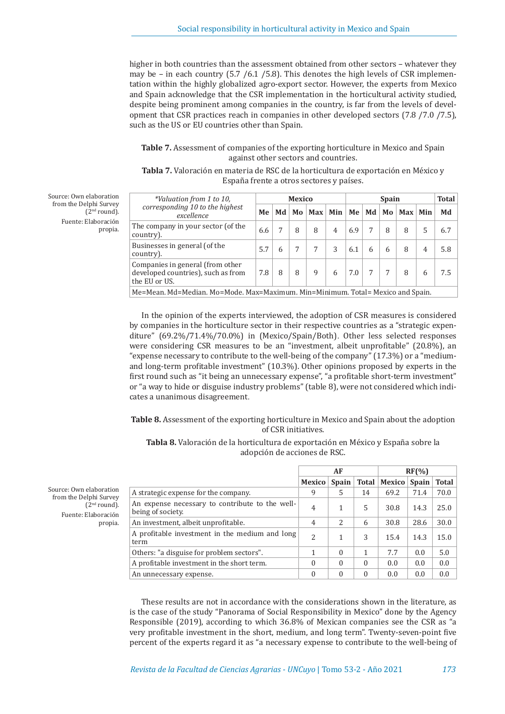higher in both countries than the assessment obtained from other sectors – whatever they may be – in each country  $(5.7 / 6.1 / 5.8)$ . This denotes the high levels of CSR implementation within the highly globalized agro-export sector. However, the experts from Mexico and Spain acknowledge that the CSR implementation in the horticultural activity studied, despite being prominent among companies in the country, is far from the levels of development that CSR practices reach in companies in other developed sectors (7.8 /7.0 /7.5), such as the US or EU countries other than Spain.

## **Table 7.** Assessment of companies of the exporting horticulture in Mexico and Spain against other sectors and countries.

| <b>Tabla 7.</b> Valoración en materia de RSC de la horticultura de exportación en México y |                                          |  |
|--------------------------------------------------------------------------------------------|------------------------------------------|--|
|                                                                                            | España frente a otros sectores y países. |  |

| Source: Own elaboration  |
|--------------------------|
| from the Delphi Survey   |
| (2 <sup>nd</sup> round). |
| Fuente: Elaboración      |
| propia.                  |
|                          |

| *Valuation from 1 to 10,                                                                |                                                                                 |    | <b>Mexico</b> |     |                |     | <b>Spain</b> |   |                  |                |     |
|-----------------------------------------------------------------------------------------|---------------------------------------------------------------------------------|----|---------------|-----|----------------|-----|--------------|---|------------------|----------------|-----|
| corresponding 10 to the highest<br>excellence                                           | Me                                                                              | Md | Mo            | Max | Min            | Me  | Md           |   | $Mo$   Max   Min |                | Md  |
| The company in your sector (of the<br>country).                                         | 6.6                                                                             |    | 8             | 8   | $\overline{4}$ | 6.9 | 7            | 8 | 8                | 5              | 6.7 |
| Businesses in general (of the<br>country).                                              | 5.7                                                                             | 6  | 7             |     | 3              | 6.1 | 6            | 6 | 8                | $\overline{4}$ | 5.8 |
| Companies in general (from other<br>developed countries), such as from<br>the EU or US. | 7.8                                                                             | 8  | 8             | 9   | 6              | 7.0 | 7            |   |                  | 6              | 7.5 |
|                                                                                         | Me=Mean. Md=Median. Mo=Mode. Max=Maximum. Min=Minimum. Total= Mexico and Spain. |    |               |     |                |     |              |   |                  |                |     |

In the opinion of the experts interviewed, the adoption of CSR measures is considered by companies in the horticulture sector in their respective countries as a "strategic expenditure" (69.2%/71.4%/70.0%) in (Mexico/Spain/Both). Other less selected responses were considering CSR measures to be an "investment, albeit unprofitable" (20.8%), an "expense necessary to contribute to the well-being of the company" (17.3%) or a "mediumand long-term profitable investment" (10.3%). Other opinions proposed by experts in the first round such as "it being an unnecessary expense", "a profitable short-term investment" or "a way to hide or disguise industry problems" (table 8), were not considered which indicates a unanimous disagreement.

**Table 8.** Assessment of the exporting horticulture in Mexico and Spain about the adoption of CSR initiatives.

**Tabla 8.** Valoración de la horticultura de exportación en México y España sobre la adopción de acciones de RSC.

|                                                                      |                | AF             |              | RF(%)  |              |              |
|----------------------------------------------------------------------|----------------|----------------|--------------|--------|--------------|--------------|
|                                                                      | Mexico         | <b>Spain</b>   | <b>Total</b> | Mexico | <b>Spain</b> | <b>Total</b> |
| A strategic expense for the company.                                 | 9              | 5              | 14           | 69.2   | 71.4         | 70.0         |
| An expense necessary to contribute to the well-<br>being of society. | 4              |                | 5            | 30.8   | 14.3         | 25.0         |
| An investment, albeit unprofitable.                                  | $\overline{4}$ | $\overline{2}$ | 6            | 30.8   | 28.6         | 30.0         |
| A profitable investment in the medium and long<br>term               | $\overline{c}$ |                | 3            | 15.4   | 14.3         | 15.0         |
| Others: "a disguise for problem sectors".                            |                | $\Omega$       | 1            | 7.7    | 0.0          | 5.0          |
| A profitable investment in the short term.                           | $\Omega$       | $\Omega$       | $\Omega$     | 0.0    | 0.0          | 0.0          |
| An unnecessary expense.                                              | $\Omega$       | $\Omega$       | $\theta$     | 0.0    | 0.0          | 0.0          |

These results are not in accordance with the considerations shown in the literature, as is the case of the study "Panorama of Social Responsibility in Mexico" done by the Agency Responsible (2019), according to which 36.8% of Mexican companies see the CSR as "a very profitable investment in the short, medium, and long term". Twenty-seven-point five percent of the experts regard it as "a necessary expense to contribute to the well-being of

Source: Own elaboration from the Delphi Survey  $(2<sup>nd</sup>$  round). Fuente: Elaboración propia.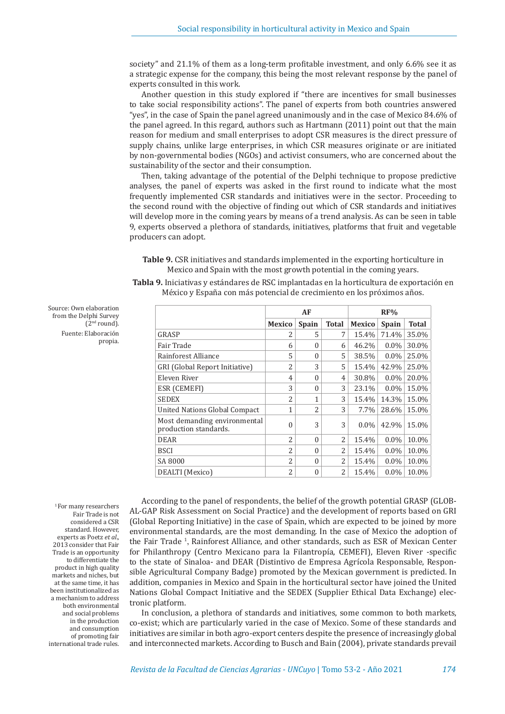society" and 21.1% of them as a long-term profitable investment, and only 6.6% see it as a strategic expense for the company, this being the most relevant response by the panel of experts consulted in this work.

Another question in this study explored if "there are incentives for small businesses to take social responsibility actions". The panel of experts from both countries answered "yes", in the case of Spain the panel agreed unanimously and in the case of Mexico 84.6% of the panel agreed. In this regard, authors such as Hartmann (2011) point out that the main reason for medium and small enterprises to adopt CSR measures is the direct pressure of supply chains, unlike large enterprises, in which CSR measures originate or are initiated by non-governmental bodies (NGOs) and activist consumers, who are concerned about the sustainability of the sector and their consumption.

Then, taking advantage of the potential of the Delphi technique to propose predictive analyses, the panel of experts was asked in the first round to indicate what the most frequently implemented CSR standards and initiatives were in the sector. Proceeding to the second round with the objective of finding out which of CSR standards and initiatives will develop more in the coming years by means of a trend analysis. As can be seen in table 9, experts observed a plethora of standards, initiatives, platforms that fruit and vegetable producers can adopt.

| Table 9. CSR initiatives and standards implemented in the exporting horticulture in |  |
|-------------------------------------------------------------------------------------|--|
| Mexico and Spain with the most growth potential in the coming years.                |  |

|                                                       |                | AF           |                |               | RF%     |       |
|-------------------------------------------------------|----------------|--------------|----------------|---------------|---------|-------|
|                                                       | <b>Mexico</b>  | <b>Spain</b> | <b>Total</b>   | <b>Mexico</b> | Spain   | Total |
| GRASP                                                 | 2              | 5            | 7              | 15.4%         | 71.4%   | 35.0% |
| Fair Trade                                            | 6              | $\theta$     | 6              | 46.2%         | $0.0\%$ | 30.0% |
| Rainforest Alliance                                   | 5              | $\theta$     | 5              | 38.5%         | $0.0\%$ | 25.0% |
| GRI (Global Report Initiative)                        | $\overline{c}$ | 3            | 5              | 15.4%         | 42.9%   | 25.0% |
| Eleven River                                          | 4              | $\theta$     | $\overline{4}$ | 30.8%         | $0.0\%$ | 20.0% |
| <b>ESR (CEMEFI)</b>                                   | 3              | $\Omega$     | 3              | 23.1%         | $0.0\%$ | 15.0% |
| <b>SEDEX</b>                                          | $\overline{c}$ | $\mathbf{1}$ | 3              | 15.4%         | 14.3%   | 15.0% |
| United Nations Global Compact                         | $\mathbf{1}$   | 2            | 3              | 7.7%          | 28.6%   | 15.0% |
| Most demanding environmental<br>production standards. | $\Omega$       | 3            | 3              | $0.0\%$       | 42.9%   | 15.0% |
| <b>DEAR</b>                                           | $\overline{2}$ | $\theta$     | 2              | 15.4%         | $0.0\%$ | 10.0% |
| <b>BSCI</b>                                           | $\overline{c}$ | $\theta$     | 2              | 15.4%         | $0.0\%$ | 10.0% |
| SA 8000                                               | $\overline{c}$ | $\theta$     | 2              | 15.4%         | $0.0\%$ | 10.0% |
| DEALTI (Mexico)                                       | $\overline{c}$ | $\theta$     | 2              | 15.4%         | $0.0\%$ | 10.0% |

| Tabla 9. Iniciativas y estándares de RSC implantadas en la horticultura de exportación en |  |
|-------------------------------------------------------------------------------------------|--|
| México y España con más potencial de crecimiento en los próximos años.                    |  |

<sup>1</sup> For many researchers Fair Trade is not considered a CSR standard. However, experts as Poetz *et al*., 2013 consider that Fair Trade is an opportunity to differentiate the product in high quality markets and niches, but at the same time, it has been institutionalized as a mechanism to address both environmental and social problems in the production and consumption of promoting fair international trade rules.

Source: Own elaboration from the Delphi Survey

(2nd round). Fuente: Elaboración

propia.

According to the panel of respondents, the belief of the growth potential GRASP (GLOB-AL-GAP Risk Assessment on Social Practice) and the development of reports based on GRI (Global Reporting Initiative) in the case of Spain, which are expected to be joined by more environmental standards, are the most demanding. In the case of Mexico the adoption of the Fair Trade<sup>1</sup>, Rainforest Alliance, and other standards, such as ESR of Mexican Center for Philanthropy (Centro Mexicano para la Filantropía, CEMEFI), Eleven River -specific to the state of Sinaloa- and DEAR (Distintivo de Empresa Agrícola Responsable, Responsible Agricultural Company Badge) promoted by the Mexican government is predicted. In addition, companies in Mexico and Spain in the horticultural sector have joined the United Nations Global Compact Initiative and the SEDEX (Supplier Ethical Data Exchange) electronic platform.

In conclusion, a plethora of standards and initiatives, some common to both markets, co-exist; which are particularly varied in the case of Mexico. Some of these standards and initiatives are similar in both agro-export centers despite the presence of increasingly global and interconnected markets. According to Busch and Bain (2004), private standards prevail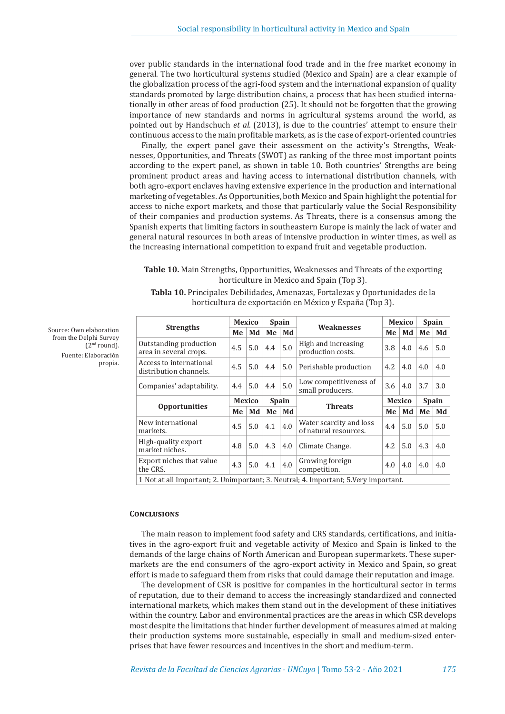over public standards in the international food trade and in the free market economy in general. The two horticultural systems studied (Mexico and Spain) are a clear example of the globalization process of the agri-food system and the international expansion of quality standards promoted by large distribution chains, a process that has been studied internationally in other areas of food production (25). It should not be forgotten that the growing importance of new standards and norms in agricultural systems around the world, as pointed out by Handschuch *et al.* (2013), is due to the countries' attempt to ensure their continuous access to the main profitable markets, as is the case of export-oriented countries

Finally, the expert panel gave their assessment on the activity's Strengths, Weaknesses, Opportunities, and Threats (SWOT) as ranking of the three most important points according to the expert panel, as shown in table 10. Both countries' Strengths are being prominent product areas and having access to international distribution channels, with both agro-export enclaves having extensive experience in the production and international marketing of vegetables. As Opportunities, both Mexico and Spain highlight the potential for access to niche export markets, and those that particularly value the Social Responsibility of their companies and production systems. As Threats, there is a consensus among the Spanish experts that limiting factors in southeastern Europe is mainly the lack of water and general natural resources in both areas of intensive production in winter times, as well as the increasing international competition to expand fruit and vegetable production.

## **Table 10.** Main Strengths, Opportunities, Weaknesses and Threats of the exporting horticulture in Mexico and Spain (Top 3).

| Tabla 10. Principales Debilidades, Amenazas, Fortalezas y Oportunidades de la |  |  |
|-------------------------------------------------------------------------------|--|--|
| horticultura de exportación en México y España (Top 3).                       |  |  |

| <b>Strengths</b>                                                                     |                               | <b>Mexico</b> |     | <b>Spain</b> | Weaknesses                                       | <b>Mexico</b> |              | <b>Spain</b> |     |  |  |
|--------------------------------------------------------------------------------------|-------------------------------|---------------|-----|--------------|--------------------------------------------------|---------------|--------------|--------------|-----|--|--|
|                                                                                      |                               | Md            | Me  | Md           |                                                  | Me            | Md           | Me           | Md  |  |  |
| Outstanding production<br>area in several crops.                                     | 4.5                           | 5.0           | 4.4 | 5.0          | High and increasing<br>production costs.         | 3.8           | 4.0          | 4.6          | 5.0 |  |  |
| Access to international<br>distribution channels.                                    | 4.5                           | 5.0           | 4.4 | 5.0          | Perishable production                            | 4.2           | 4.0          | 4.0          | 4.0 |  |  |
| Companies' adaptability.                                                             | 4.4                           | 5.0           | 4.4 | 5.0          | Low competitiveness of<br>small producers.       | 3.6           | 4.0          | 3.7          | 3.0 |  |  |
|                                                                                      | <b>Mexico</b><br><b>Spain</b> |               |     |              | Mexico                                           |               | <b>Spain</b> |              |     |  |  |
| <b>Opportunities</b>                                                                 | Me                            | Md            | Me  | Md           | <b>Threats</b>                                   | Me            | Md           | Me           | Md  |  |  |
| New international<br>markets.                                                        | 4.5                           | 5.0           | 4.1 | 4.0          | Water scarcity and loss<br>of natural resources. | 4.4           | 5.0          | 5.0          | 5.0 |  |  |
| High-quality export<br>market niches.                                                | 4.8                           | 5.0           | 4.3 | 4.0          | Climate Change.                                  | 4.2           | 5.0          | 4.3          | 4.0 |  |  |
| Export niches that value<br>the CRS.                                                 | 4.3                           | 5.0           | 4.1 | 4.0          | Growing foreign<br>competition.                  | 4.0           | 4.0          | 4.0          | 4.0 |  |  |
| 1 Not at all Important; 2. Unimportant; 3. Neutral; 4. Important; 5. Very important. |                               |               |     |              |                                                  |               |              |              |     |  |  |

**Conclusions**

The main reason to implement food safety and CRS standards, certifications, and initiatives in the agro-export fruit and vegetable activity of Mexico and Spain is linked to the demands of the large chains of North American and European supermarkets. These supermarkets are the end consumers of the agro-export activity in Mexico and Spain, so great effort is made to safeguard them from risks that could damage their reputation and image.

The development of CSR is positive for companies in the horticultural sector in terms of reputation, due to their demand to access the increasingly standardized and connected international markets, which makes them stand out in the development of these initiatives within the country. Labor and environmental practices are the areas in which CSR develops most despite the limitations that hinder further development of measures aimed at making their production systems more sustainable, especially in small and medium-sized enterprises that have fewer resources and incentives in the short and medium-term.

from the Delphi Survey (2nd round). Fuente: Elaboración propia.

Source: Own elaboration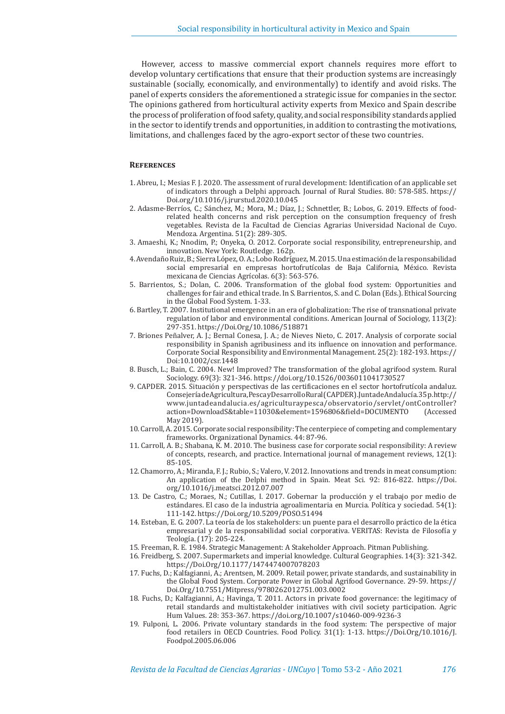However, access to massive commercial export channels requires more effort to develop voluntary certifications that ensure that their production systems are increasingly sustainable (socially, economically, and environmentally) to identify and avoid risks. The panel of experts considers the aforementioned a strategic issue for companies in the sector. The opinions gathered from horticultural activity experts from Mexico and Spain describe the process of proliferation of food safety, quality, and social responsibility standards applied in the sector to identify trends and opportunities, in addition to contrasting the motivations, limitations, and challenges faced by the agro-export sector of these two countries.

## **References**

- 1. Abreu, I.; Mesias F. J. 2020. The assessment of rural development: Identification of an applicable set of indicators through a Delphi approach. Journal of Rural Studies. 80: 578-585. https:// Doi.org/10.1016/j.jrurstud.2020.10.045
- 2. Adasme-Berríos, C.; Sánchez, M.; Mora, M.; Díaz, J.; Schnettler, B.; Lobos, G. 2019. Effects of foodrelated health concerns and risk perception on the consumption frequency of fresh vegetables. Revista de la Facultad de Ciencias Agrarias Universidad Nacional de Cuyo. Mendoza. Argentina. 51(2): 289-305.
- 3. Amaeshi, K.; Nnodim, P.; Onyeka, O. 2012. Corporate social responsibility, entrepreneurship, and innovation. New York: Routledge. 162p.
- 4. Avendaño Ruiz, B.; Sierra López, O. A.; Lobo Rodríguez, M. 2015. Una estimación de la responsabilidad social empresarial en empresas hortofrutícolas de Baja California, México. Revista mexicana de Ciencias Agrícolas. 6(3): 563-576.
- 5. Barrientos, S.; Dolan, C. 2006. Transformation of the global food system: Opportunities and challenges for fair and ethical trade. In S. Barrientos, S. and C. Dolan (Eds.). Ethical Sourcing in the Global Food System. 1-33.
- 6. Bartley, T. 2007. Institutional emergence in an era of globalization: The rise of transnational private regulation of labor and environmental conditions. American Journal of Sociology, 113(2): 297-351. https://Doi.Org/10.1086/518871
- 7. Briones Peñalver, A. J.; Bernal Conesa, J. A.; de Nieves Nieto, C. 2017. Analysis of corporate social responsibility in Spanish agribusiness and its influence on innovation and performance. Corporate Social Responsibility and Environmental Management. 25(2): 182-193. https:// Doi:10.1002/csr.1448
- 8. Busch, L.; Bain, C. 2004. New! Improved? The transformation of the global agrifood system. Rural Sociology. 69(3): 321-346. https://doi.org/10.1526/0036011041730527
- 9. CAPDER. 2015. Situación y perspectivas de las certificaciones en el sector hortofrutícola andaluz. Consejería de Agricultura, Pesca y Desarrollo Rural (CAPDER). Junta de Andalucía. 35 p. http:// www.juntadeandalucia.es/agriculturaypesca/observatorio/servlet/ontController? action=DownloadS&table=11030&element=1596806&field=DOCUMENTO May 2019).
- 10. Carroll, A. 2015. Corporate social responsibility: The centerpiece of competing and complementary frameworks. Organizational Dynamics. 44: 87-96.
- 11. Carroll, A. B.; Shabana, K. M. 2010. The business case for corporate social responsibility: A review of concepts, research, and practice. International journal of management reviews, 12(1): 85-105.
- 12. Chamorro, A.; Miranda, F. J.; Rubio, S.; Valero, V. 2012. Innovations and trends in meat consumption: An application of the Delphi method in Spain. Meat Sci. 92: 816-822. https://Doi. org/10.1016/j.meatsci.2012.07.007
- 13. De Castro, C.; Moraes, N.; Cutillas, I. 2017. Gobernar la producción y el trabajo por medio de estándares. El caso de la industria agroalimentaria en Murcia. Política y sociedad. 54(1): 111-142. https://Doi.org/10.5209/POSO.51494
- 14. Esteban, E. G. 2007. La teoría de los stakeholders: un puente para el desarrollo práctico de la ética empresarial y de la responsabilidad social corporativa. VERITAS: Revista de Filosofía y Teología. (17): 205-224.
- 15. Freeman, R. E. 1984. Strategic Management: A Stakeholder Approach. Pitman Publishing.
- 16. Freidberg, S. 2007. Supermarkets and imperial knowledge. Cultural Geographies. 14(3): 321-342. https://Doi.Org/10.1177/1474474007078203
- 17. Fuchs, D.; Kalfagianni, A.; Arentsen, M. 2009. Retail power, private standards, and sustainability in the Global Food System. Corporate Power in Global Agrifood Governance. 29-59. https:// Doi.Org/10.7551/Mitpress/9780262012751.003.0002
- 18. Fuchs, D.; Kalfagianni, A.; Havinga, T. 2011. Actors in private food governance: the legitimacy of retail standards and multistakeholder initiatives with civil society participation. Agric Hum Values. 28: 353-367. https://doi.org/10.1007/s10460-009-9236-3
- 19. Fulponi, L. 2006. Private voluntary standards in the food system: The perspective of major food retailers in OECD Countries. Food Policy. 31(1): 1-13. https://Doi.Org/10.1016/J. Foodpol.2005.06.006